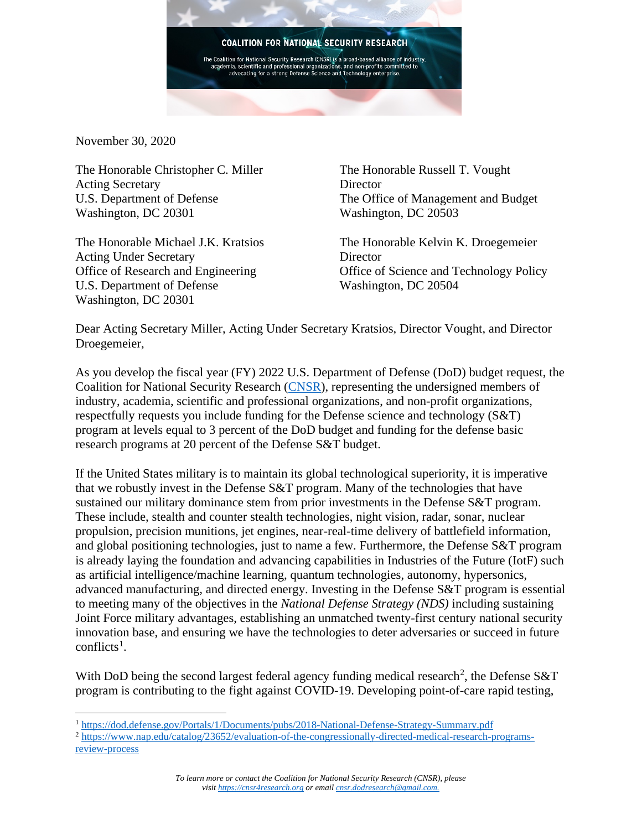

November 30, 2020

The Honorable Christopher C. Miller Acting Secretary U.S. Department of Defense Washington, DC 20301

The Honorable Michael J.K. Kratsios Acting Under Secretary Office of Research and Engineering U.S. Department of Defense Washington, DC 20301

The Honorable Russell T. Vought **Director** The Office of Management and Budget Washington, DC 20503

The Honorable Kelvin K. Droegemeier **Director** Office of Science and Technology Policy Washington, DC 20504

Dear Acting Secretary Miller, Acting Under Secretary Kratsios, Director Vought, and Director Droegemeier,

As you develop the fiscal year (FY) 2022 U.S. Department of Defense (DoD) budget request, the Coalition for National Security Research [\(CNSR\)](https://cnsr4research.org/), representing the undersigned members of industry, academia, scientific and professional organizations, and non-profit organizations, respectfully requests you include funding for the Defense science and technology (S&T) program at levels equal to 3 percent of the DoD budget and funding for the defense basic research programs at 20 percent of the Defense S&T budget.

If the United States military is to maintain its global technological superiority, it is imperative that we robustly invest in the Defense S&T program. Many of the technologies that have sustained our military dominance stem from prior investments in the Defense S&T program. These include, stealth and counter stealth technologies, night vision, radar, sonar, nuclear propulsion, precision munitions, jet engines, near-real-time delivery of battlefield information, and global positioning technologies, just to name a few. Furthermore, the Defense S&T program is already laying the foundation and advancing capabilities in Industries of the Future (IotF) such as artificial intelligence/machine learning, quantum technologies, autonomy, hypersonics, advanced manufacturing, and directed energy. Investing in the Defense S&T program is essential to meeting many of the objectives in the *National Defense Strategy (NDS)* including sustaining Joint Force military advantages, establishing an unmatched twenty-first century national security innovation base, and ensuring we have the technologies to deter adversaries or succeed in future  $conflicts<sup>1</sup>$  $conflicts<sup>1</sup>$  $conflicts<sup>1</sup>$ .

With DoD being the second largest federal agency funding medical research<sup>[2](#page-0-1)</sup>, the Defense S&T program is contributing to the fight against COVID-19. Developing point-of-care rapid testing,

<span id="page-0-0"></span><sup>1</sup> <https://dod.defense.gov/Portals/1/Documents/pubs/2018-National-Defense-Strategy-Summary.pdf>

<span id="page-0-1"></span><sup>2</sup> [https://www.nap.edu/catalog/23652/evaluation-of-the-congressionally-directed-medical-research-programs](https://www.nap.edu/catalog/23652/evaluation-of-the-congressionally-directed-medical-research-programs-review-process)[review-process](https://www.nap.edu/catalog/23652/evaluation-of-the-congressionally-directed-medical-research-programs-review-process)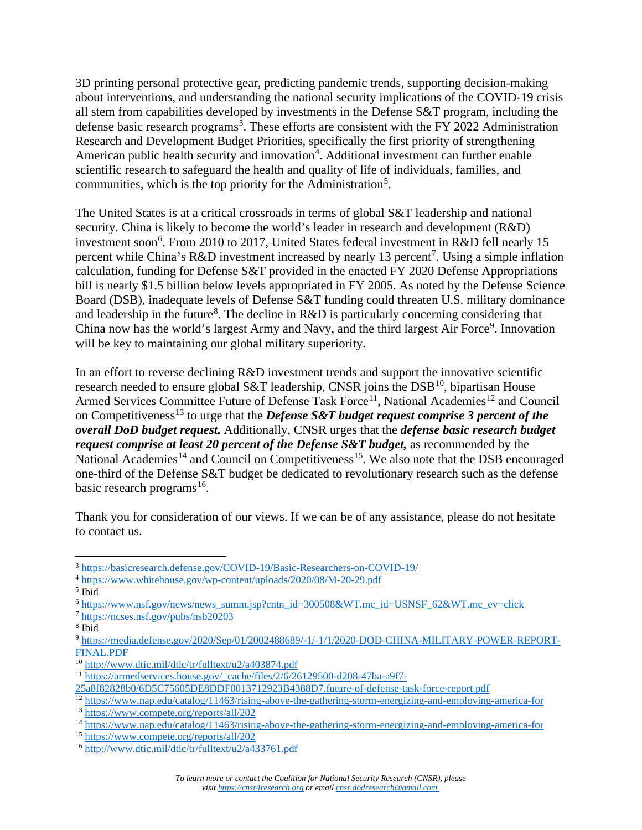3D printing personal protective gear, predicting pandemic trends, supporting decision-making about interventions, and understanding the national security implications of the COVID-19 crisis all stem from capabilities developed by investments in the Defense S&T program, including the defense basic research programs<sup>[3](#page-1-0)</sup>. These efforts are consistent with the FY 2022 Administration Research and Development Budget Priorities, specifically the first priority of strengthening American public health security and innovation<sup>[4](#page-1-1)</sup>. Additional investment can further enable scientific research to safeguard the health and quality of life of individuals, families, and communities, which is the top priority for the Administration<sup>[5](#page-1-2)</sup>.

The United States is at a critical crossroads in terms of global S&T leadership and national security. China is likely to become the world's leader in research and development (R&D) investment soon<sup>[6](#page-1-3)</sup>. From 2010 to 2017, United States federal investment in R&D fell nearly 15 percent while China's R&D investment increased by nearly 13 percent<sup>[7](#page-1-4)</sup>. Using a simple inflation calculation, funding for Defense S&T provided in the enacted FY 2020 Defense Appropriations bill is nearly \$1.5 billion below levels appropriated in FY 2005. As noted by the Defense Science Board (DSB), inadequate levels of Defense S&T funding could threaten U.S. military dominance and leadership in the future<sup>[8](#page-1-5)</sup>. The decline in  $R&D$  is particularly concerning considering that China now has the world's largest Army and Navy, and the third largest Air Force<sup>[9](#page-1-6)</sup>. Innovation will be key to maintaining our global military superiority.

In an effort to reverse declining R&D investment trends and support the innovative scientific research needed to ensure global S&T leadership, CNSR joins the DSB<sup>10</sup>, bipartisan House Armed Services Committee Future of Defense Task Force<sup>[11](#page-1-8)</sup>, National Academies<sup>[12](#page-1-9)</sup> and Council on Competitiveness<sup>[13](#page-1-10)</sup> to urge that the *Defense S&T budget request comprise 3 percent of the overall DoD budget request.* Additionally, CNSR urges that the *defense basic research budget request comprise at least 20 percent of the Defense S&T budget, as recommended by the* National Academies<sup>[14](#page-1-11)</sup> and Council on Competitiveness<sup>[15](#page-1-12)</sup>. We also note that the DSB encouraged one-third of the Defense S&T budget be dedicated to revolutionary research such as the defense basic research programs<sup>16</sup>.

Thank you for consideration of our views. If we can be of any assistance, please do not hesitate to contact us.

<span id="page-1-0"></span><sup>3</sup> <https://basicresearch.defense.gov/COVID-19/Basic-Researchers-on-COVID-19/>

<span id="page-1-1"></span><sup>4</sup> <https://www.whitehouse.gov/wp-content/uploads/2020/08/M-20-29.pdf>

<span id="page-1-2"></span> $<sup>5</sup>$  Ibid</sup>

<span id="page-1-3"></span><sup>6</sup> [https://www.nsf.gov/news/news\\_summ.jsp?cntn\\_id=300508&WT.mc\\_id=USNSF\\_62&WT.mc\\_ev=click](https://www.nsf.gov/news/news_summ.jsp?cntn_id=300508&WT.mc_id=USNSF_62&WT.mc_ev=click)

<span id="page-1-4"></span><sup>7</sup> <https://ncses.nsf.gov/pubs/nsb20203>

<span id="page-1-5"></span><sup>8</sup> Ibid

<span id="page-1-6"></span><sup>9</sup> [https://media.defense.gov/2020/Sep/01/2002488689/-1/-1/1/2020-DOD-CHINA-MILITARY-POWER-REPORT-](https://media.defense.gov/2020/Sep/01/2002488689/-1/-1/1/2020-DOD-CHINA-MILITARY-POWER-REPORT-FINAL.PDF)[FINAL.PDF](https://media.defense.gov/2020/Sep/01/2002488689/-1/-1/1/2020-DOD-CHINA-MILITARY-POWER-REPORT-FINAL.PDF)

<span id="page-1-7"></span><sup>10</sup> <http://www.dtic.mil/dtic/tr/fulltext/u2/a403874.pdf>

<span id="page-1-8"></span><sup>11</sup> [https://armedservices.house.gov/\\_cache/files/2/6/26129500-d208-47ba-a9f7-](https://armedservices.house.gov/_cache/files/2/6/26129500-d208-47ba-a9f7-25a8f82828b0/6D5C75605DE8DDF0013712923B4388D7.future-of-defense-task-force-report.pdf)

[<sup>25</sup>a8f82828b0/6D5C75605DE8DDF0013712923B4388D7.future-of-defense-task-force-report.pdf](https://armedservices.house.gov/_cache/files/2/6/26129500-d208-47ba-a9f7-25a8f82828b0/6D5C75605DE8DDF0013712923B4388D7.future-of-defense-task-force-report.pdf)

<span id="page-1-9"></span><sup>&</sup>lt;sup>12</sup> <https://www.nap.edu/catalog/11463/rising-above-the-gathering-storm-energizing-and-employing-america-for><br><sup>13</sup> https://www.compete.org/reports/all/202

<span id="page-1-10"></span>

<span id="page-1-11"></span><sup>&</sup>lt;sup>14</sup> <https://www.nap.edu/catalog/11463/rising-above-the-gathering-storm-energizing-and-employing-america-for><br><sup>15</sup> https://www.compete.org/reports/all/202

<span id="page-1-12"></span>

<span id="page-1-13"></span> $16$  <http://www.dtic.mil/dtic/tr/fulltext/u2/a433761.pdf>